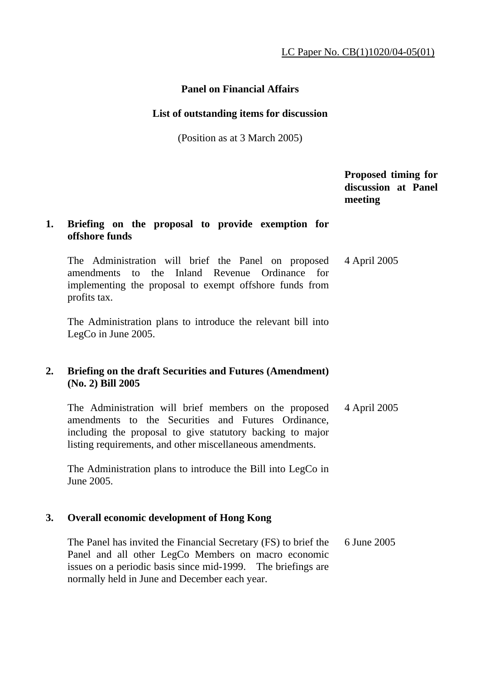# **Panel on Financial Affairs**

## **List of outstanding items for discussion**

(Position as at 3 March 2005)

 **Proposed timing for discussion at Panel meeting** 

## **1. Briefing on the proposal to provide exemption for offshore funds**

 The Administration will brief the Panel on proposed amendments to the Inland Revenue Ordinance for implementing the proposal to exempt offshore funds from profits tax. 4 April 2005

 The Administration plans to introduce the relevant bill into LegCo in June 2005.

# **2. Briefing on the draft Securities and Futures (Amendment) (No. 2) Bill 2005**

 The Administration will brief members on the proposed amendments to the Securities and Futures Ordinance, including the proposal to give statutory backing to major listing requirements, and other miscellaneous amendments. 4 April 2005

 The Administration plans to introduce the Bill into LegCo in June 2005.

# **3. Overall economic development of Hong Kong**

 The Panel has invited the Financial Secretary (FS) to brief the Panel and all other LegCo Members on macro economic issues on a periodic basis since mid-1999. The briefings are normally held in June and December each year. 6 June 2005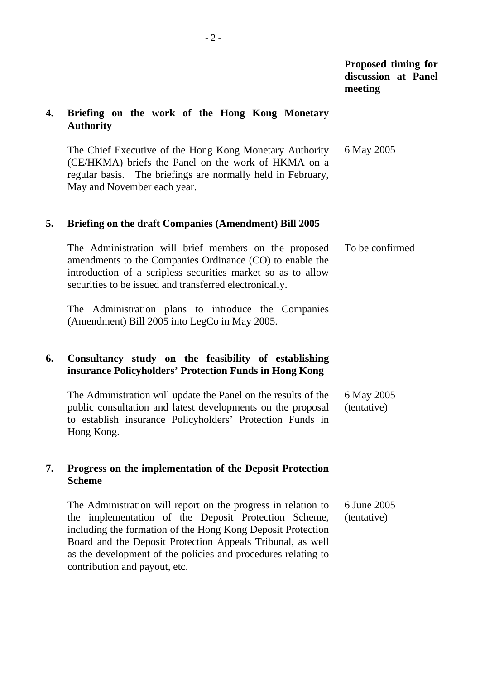## **Proposed timing for discussion at Panel meeting**

### **4. Briefing on the work of the Hong Kong Monetary Authority**

 The Chief Executive of the Hong Kong Monetary Authority (CE/HKMA) briefs the Panel on the work of HKMA on a regular basis. The briefings are normally held in February, May and November each year. 6 May 2005

#### **5. Briefing on the draft Companies (Amendment) Bill 2005**

 The Administration will brief members on the proposed amendments to the Companies Ordinance (CO) to enable the introduction of a scripless securities market so as to allow securities to be issued and transferred electronically. To be confirmed

 The Administration plans to introduce the Companies (Amendment) Bill 2005 into LegCo in May 2005.

# **6. Consultancy study on the feasibility of establishing insurance Policyholders' Protection Funds in Hong Kong**

 The Administration will update the Panel on the results of the public consultation and latest developments on the proposal to establish insurance Policyholders' Protection Funds in Hong Kong. 6 May 2005 (tentative)

### **7. Progress on the implementation of the Deposit Protection Scheme**

 The Administration will report on the progress in relation to the implementation of the Deposit Protection Scheme, including the formation of the Hong Kong Deposit Protection Board and the Deposit Protection Appeals Tribunal, as well as the development of the policies and procedures relating to contribution and payout, etc. 6 June 2005 (tentative)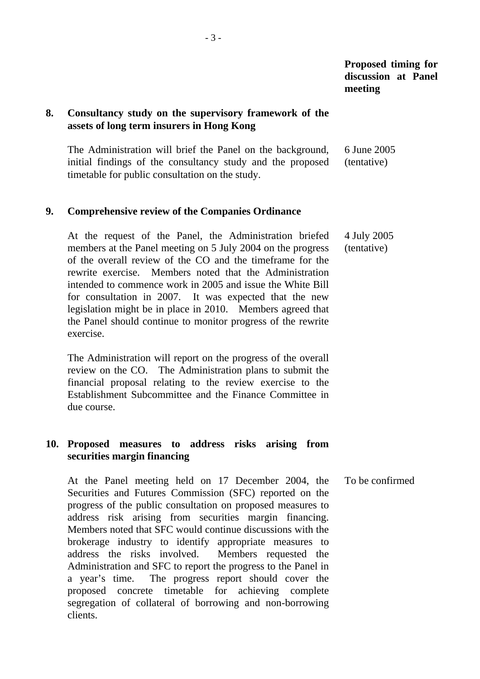**Proposed timing for discussion at Panel meeting** 

### **8. Consultancy study on the supervisory framework of the assets of long term insurers in Hong Kong**

 The Administration will brief the Panel on the background, initial findings of the consultancy study and the proposed timetable for public consultation on the study. 6 June 2005 (tentative)

#### **9. Comprehensive review of the Companies Ordinance**

 At the request of the Panel, the Administration briefed members at the Panel meeting on 5 July 2004 on the progress of the overall review of the CO and the timeframe for the rewrite exercise. Members noted that the Administration intended to commence work in 2005 and issue the White Bill for consultation in 2007. It was expected that the new legislation might be in place in 2010. Members agreed that the Panel should continue to monitor progress of the rewrite exercise. 4 July 2005 (tentative)

 The Administration will report on the progress of the overall review on the CO. The Administration plans to submit the financial proposal relating to the review exercise to the Establishment Subcommittee and the Finance Committee in due course.

## **10. Proposed measures to address risks arising from securities margin financing**

 At the Panel meeting held on 17 December 2004, the Securities and Futures Commission (SFC) reported on the progress of the public consultation on proposed measures to address risk arising from securities margin financing. Members noted that SFC would continue discussions with the brokerage industry to identify appropriate measures to address the risks involved. Members requested the Administration and SFC to report the progress to the Panel in a year's time. The progress report should cover the proposed concrete timetable for achieving complete segregation of collateral of borrowing and non-borrowing clients. To be confirmed